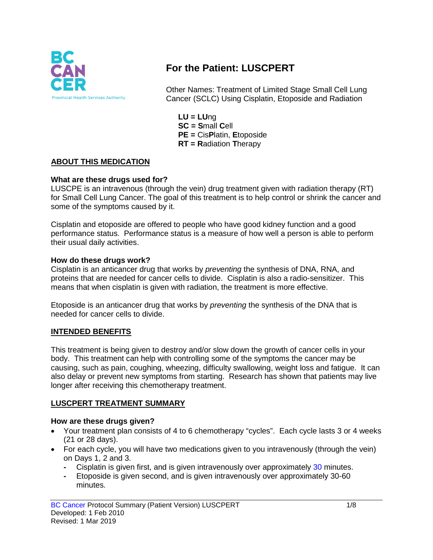

# **For the Patient: LUSCPERT**

Other Names: Treatment of Limited Stage Small Cell Lung Cancer (SCLC) Using Cisplatin, Etoposide and Radiation

**LU = LU**ng **SC = S**mall **C**ell **PE =** Cis**P**latin, **E**toposide **RT = R**adiation **T**herapy

#### **ABOUT THIS MEDICATION**

#### **What are these drugs used for?**

LUSCPE is an intravenous (through the vein) drug treatment given with radiation therapy (RT) for Small Cell Lung Cancer. The goal of this treatment is to help control or shrink the cancer and some of the symptoms caused by it.

Cisplatin and etoposide are offered to people who have good kidney function and a good performance status. Performance status is a measure of how well a person is able to perform their usual daily activities.

#### **How do these drugs work?**

Cisplatin is an anticancer drug that works by *preventing* the synthesis of DNA, RNA, and proteins that are needed for cancer cells to divide. Cisplatin is also a radio-sensitizer. This means that when cisplatin is given with radiation, the treatment is more effective.

Etoposide is an anticancer drug that works by *preventing* the synthesis of the DNA that is needed for cancer cells to divide.

#### **INTENDED BENEFITS**

This treatment is being given to destroy and/or slow down the growth of cancer cells in your body. This treatment can help with controlling some of the symptoms the cancer may be causing, such as pain, coughing, wheezing, difficulty swallowing, weight loss and fatigue. It can also delay or prevent new symptoms from starting. Research has shown that patients may live longer after receiving this chemotherapy treatment.

#### **LUSCPERT TREATMENT SUMMARY**

#### **How are these drugs given?**

- Your treatment plan consists of 4 to 6 chemotherapy "cycles". Each cycle lasts 3 or 4 weeks (21 or 28 days).
- For each cycle, you will have two medications given to you intravenously (through the vein) on Days 1, 2 and 3.
	- **-** Cisplatin is given first, and is given intravenously over approximately 30 minutes.
	- **-** Etoposide is given second, and is given intravenously over approximately 30-60 minutes.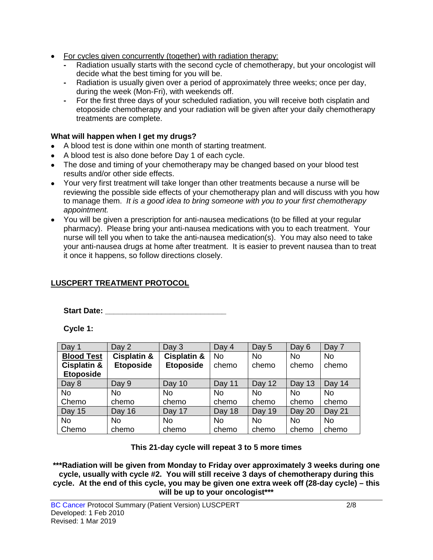- For cycles given concurrently (together) with radiation therapy:
	- **-** Radiation usually starts with the second cycle of chemotherapy, but your oncologist will decide what the best timing for you will be.
	- **-** Radiation is usually given over a period of approximately three weeks; once per day, during the week (Mon-Fri), with weekends off.
	- **-** For the first three days of your scheduled radiation, you will receive both cisplatin and etoposide chemotherapy and your radiation will be given after your daily chemotherapy treatments are complete.

### **What will happen when I get my drugs?**

- A blood test is done within one month of starting treatment.
- A blood test is also done before Day 1 of each cycle.
- The dose and timing of your chemotherapy may be changed based on your blood test results and/or other side effects.
- Your very first treatment will take longer than other treatments because a nurse will be reviewing the possible side effects of your chemotherapy plan and will discuss with you how to manage them. *It is a good idea to bring someone with you to your first chemotherapy appointment.*
- You will be given a prescription for anti-nausea medications (to be filled at your regular pharmacy). Please bring your anti-nausea medications with you to each treatment. Your nurse will tell you when to take the anti-nausea medication(s). You may also need to take your anti-nausea drugs at home after treatment. It is easier to prevent nausea than to treat it once it happens, so follow directions closely.

## **LUSCPERT TREATMENT PROTOCOL**

**Start Date: \_\_\_\_\_\_\_\_\_\_\_\_\_\_\_\_\_\_\_\_\_\_\_\_\_\_\_\_**

**Cycle 1:**

| Day 1                  | Day 2                  | Day 3                  | Day 4     | Day 5     | Day 6     | Day 7     |
|------------------------|------------------------|------------------------|-----------|-----------|-----------|-----------|
| <b>Blood Test</b>      | <b>Cisplatin &amp;</b> | <b>Cisplatin &amp;</b> | <b>No</b> | <b>No</b> | <b>No</b> | <b>No</b> |
| <b>Cisplatin &amp;</b> | <b>Etoposide</b>       | <b>Etoposide</b>       | chemo     | chemo     | chemo     | chemo     |
| <b>Etoposide</b>       |                        |                        |           |           |           |           |
| Day 8                  | Day 9                  | Day 10                 | Day 11    | Day 12    | Day 13    | Day 14    |
| <b>No</b>              | <b>No</b>              | <b>No</b>              | <b>No</b> | <b>No</b> | <b>No</b> | <b>No</b> |
| Chemo                  | chemo                  | chemo                  | chemo     | chemo     | chemo     | chemo     |
| <b>Day 15</b>          | Day 16                 | Day 17                 | Day 18    | Day 19    | Day 20    | Day 21    |
| <b>No</b>              | No                     | No                     | No        | <b>No</b> | <b>No</b> | <b>No</b> |
| Chemo                  | chemo                  | chemo                  | chemo     | chemo     | chemo     | chemo     |

**This 21-day cycle will repeat 3 to 5 more times**

**\*\*\*Radiation will be given from Monday to Friday over approximately 3 weeks during one cycle, usually with cycle #2. You will still receive 3 days of chemotherapy during this cycle. At the end of this cycle, you may be given one extra week off (28-day cycle) – this will be up to your oncologist\*\*\***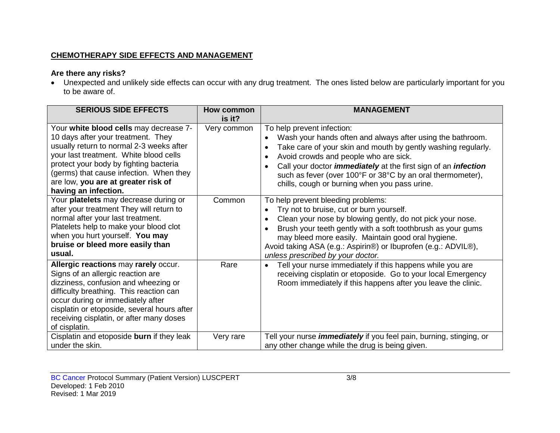### **CHEMOTHERAPY SIDE EFFECTS AND MANAGEMENT**

## **Are there any risks?**

• Unexpected and unlikely side effects can occur with any drug treatment. The ones listed below are particularly important for you to be aware of.

| <b>SERIOUS SIDE EFFECTS</b>                                                                                                                                                                                                                                                                                            | <b>How common</b><br>is it? | <b>MANAGEMENT</b>                                                                                                                                                                                                                                                                                                                                                                                 |
|------------------------------------------------------------------------------------------------------------------------------------------------------------------------------------------------------------------------------------------------------------------------------------------------------------------------|-----------------------------|---------------------------------------------------------------------------------------------------------------------------------------------------------------------------------------------------------------------------------------------------------------------------------------------------------------------------------------------------------------------------------------------------|
| Your white blood cells may decrease 7-<br>10 days after your treatment. They<br>usually return to normal 2-3 weeks after<br>your last treatment. White blood cells<br>protect your body by fighting bacteria<br>(germs) that cause infection. When they<br>are low, you are at greater risk of<br>having an infection. | Very common                 | To help prevent infection:<br>Wash your hands often and always after using the bathroom.<br>Take care of your skin and mouth by gently washing regularly.<br>Avoid crowds and people who are sick.<br>Call your doctor <i>immediately</i> at the first sign of an <i>infection</i><br>such as fever (over 100°F or 38°C by an oral thermometer),<br>chills, cough or burning when you pass urine. |
| Your platelets may decrease during or<br>after your treatment They will return to<br>normal after your last treatment.<br>Platelets help to make your blood clot<br>when you hurt yourself. You may<br>bruise or bleed more easily than<br>usual.                                                                      | Common                      | To help prevent bleeding problems:<br>Try not to bruise, cut or burn yourself.<br>Clean your nose by blowing gently, do not pick your nose.<br>Brush your teeth gently with a soft toothbrush as your gums<br>may bleed more easily. Maintain good oral hygiene.<br>Avoid taking ASA (e.g.: Aspirin®) or Ibuprofen (e.g.: ADVIL®),<br>unless prescribed by your doctor.                           |
| Allergic reactions may rarely occur.<br>Signs of an allergic reaction are<br>dizziness, confusion and wheezing or<br>difficulty breathing. This reaction can<br>occur during or immediately after<br>cisplatin or etoposide, several hours after<br>receiving cisplatin, or after many doses<br>of cisplatin.          | Rare                        | Tell your nurse immediately if this happens while you are<br>$\bullet$<br>receiving cisplatin or etoposide. Go to your local Emergency<br>Room immediately if this happens after you leave the clinic.                                                                                                                                                                                            |
| Cisplatin and etoposide burn if they leak<br>under the skin.                                                                                                                                                                                                                                                           | Very rare                   | Tell your nurse <i>immediately</i> if you feel pain, burning, stinging, or<br>any other change while the drug is being given.                                                                                                                                                                                                                                                                     |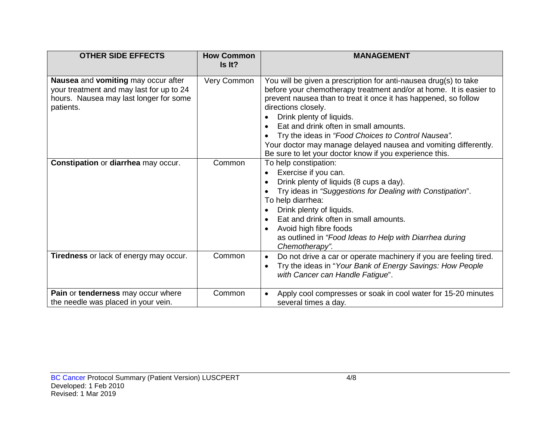| <b>OTHER SIDE EFFECTS</b>                                                                                                              | <b>How Common</b><br>Is It? | <b>MANAGEMENT</b>                                                                                                                                                                                                                                                                                                                                                                                                                                                                         |
|----------------------------------------------------------------------------------------------------------------------------------------|-----------------------------|-------------------------------------------------------------------------------------------------------------------------------------------------------------------------------------------------------------------------------------------------------------------------------------------------------------------------------------------------------------------------------------------------------------------------------------------------------------------------------------------|
| Nausea and vomiting may occur after<br>your treatment and may last for up to 24<br>hours. Nausea may last longer for some<br>patients. | Very Common                 | You will be given a prescription for anti-nausea drug(s) to take<br>before your chemotherapy treatment and/or at home. It is easier to<br>prevent nausea than to treat it once it has happened, so follow<br>directions closely.<br>Drink plenty of liquids.<br>Eat and drink often in small amounts.<br>Try the ideas in "Food Choices to Control Nausea".<br>Your doctor may manage delayed nausea and vomiting differently.<br>Be sure to let your doctor know if you experience this. |
| Constipation or diarrhea may occur.                                                                                                    | Common                      | To help constipation:<br>Exercise if you can.<br>Drink plenty of liquids (8 cups a day).<br>$\bullet$<br>Try ideas in "Suggestions for Dealing with Constipation".<br>To help diarrhea:<br>Drink plenty of liquids.<br>Eat and drink often in small amounts.<br>Avoid high fibre foods<br>as outlined in "Food Ideas to Help with Diarrhea during<br>Chemotherapy".                                                                                                                       |
| Tiredness or lack of energy may occur.                                                                                                 | Common                      | Do not drive a car or operate machinery if you are feeling tired.<br>$\bullet$<br>Try the ideas in "Your Bank of Energy Savings: How People<br>with Cancer can Handle Fatigue".                                                                                                                                                                                                                                                                                                           |
| Pain or tenderness may occur where<br>the needle was placed in your vein.                                                              | Common                      | Apply cool compresses or soak in cool water for 15-20 minutes<br>several times a day.                                                                                                                                                                                                                                                                                                                                                                                                     |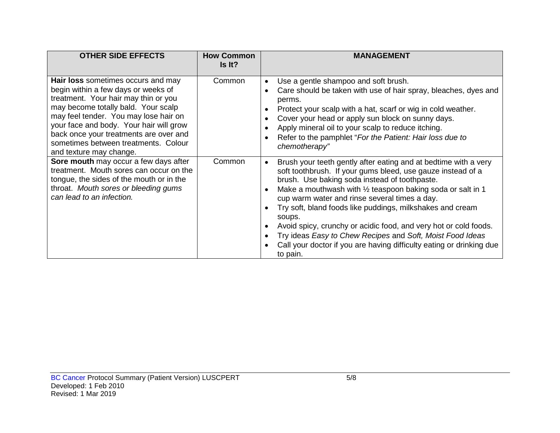| <b>OTHER SIDE EFFECTS</b>                                                                                                                                                                                                                                                                                                                                 | <b>How Common</b><br>Is It? | <b>MANAGEMENT</b>                                                                                                                                                                                                                                                                                                                                                                                                                                                                                                                                                                                                  |
|-----------------------------------------------------------------------------------------------------------------------------------------------------------------------------------------------------------------------------------------------------------------------------------------------------------------------------------------------------------|-----------------------------|--------------------------------------------------------------------------------------------------------------------------------------------------------------------------------------------------------------------------------------------------------------------------------------------------------------------------------------------------------------------------------------------------------------------------------------------------------------------------------------------------------------------------------------------------------------------------------------------------------------------|
| Hair loss sometimes occurs and may<br>begin within a few days or weeks of<br>treatment. Your hair may thin or you<br>may become totally bald. Your scalp<br>may feel tender. You may lose hair on<br>your face and body. Your hair will grow<br>back once your treatments are over and<br>sometimes between treatments. Colour<br>and texture may change. | Common                      | Use a gentle shampoo and soft brush.<br>$\bullet$<br>Care should be taken with use of hair spray, bleaches, dyes and<br>perms.<br>Protect your scalp with a hat, scarf or wig in cold weather.<br>Cover your head or apply sun block on sunny days.<br>Apply mineral oil to your scalp to reduce itching.<br>Refer to the pamphlet "For the Patient: Hair loss due to<br>chemotherapy"                                                                                                                                                                                                                             |
| Sore mouth may occur a few days after<br>treatment. Mouth sores can occur on the<br>tongue, the sides of the mouth or in the<br>throat. Mouth sores or bleeding gums<br>can lead to an infection.                                                                                                                                                         | Common                      | Brush your teeth gently after eating and at bedtime with a very<br>$\bullet$<br>soft toothbrush. If your gums bleed, use gauze instead of a<br>brush. Use baking soda instead of toothpaste.<br>Make a mouthwash with $\frac{1}{2}$ teaspoon baking soda or salt in 1<br>cup warm water and rinse several times a day.<br>Try soft, bland foods like puddings, milkshakes and cream<br>soups.<br>Avoid spicy, crunchy or acidic food, and very hot or cold foods.<br>Try ideas Easy to Chew Recipes and Soft, Moist Food Ideas<br>Call your doctor if you are having difficulty eating or drinking due<br>to pain. |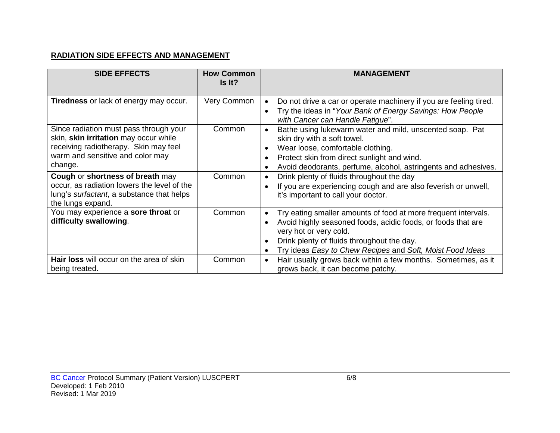### **RADIATION SIDE EFFECTS AND MANAGEMENT**

| <b>SIDE EFFECTS</b>                                                                                                                                                     | <b>How Common</b><br>Is It? | <b>MANAGEMENT</b>                                                                                                                                                                                                                                                                             |
|-------------------------------------------------------------------------------------------------------------------------------------------------------------------------|-----------------------------|-----------------------------------------------------------------------------------------------------------------------------------------------------------------------------------------------------------------------------------------------------------------------------------------------|
| <b>Tiredness</b> or lack of energy may occur.                                                                                                                           | Very Common                 | Do not drive a car or operate machinery if you are feeling tired.<br>Try the ideas in "Your Bank of Energy Savings: How People<br>with Cancer can Handle Fatigue".                                                                                                                            |
| Since radiation must pass through your<br>skin, skin irritation may occur while<br>receiving radiotherapy. Skin may feel<br>warm and sensitive and color may<br>change. | Common                      | Bathe using lukewarm water and mild, unscented soap. Pat<br>skin dry with a soft towel.<br>Wear loose, comfortable clothing.<br>Protect skin from direct sunlight and wind.<br>Avoid deodorants, perfume, alcohol, astringents and adhesives.                                                 |
| Cough or shortness of breath may<br>occur, as radiation lowers the level of the<br>lung's surfactant, a substance that helps<br>the lungs expand.                       | Common                      | Drink plenty of fluids throughout the day<br>If you are experiencing cough and are also feverish or unwell,<br>it's important to call your doctor.                                                                                                                                            |
| You may experience a sore throat or<br>difficulty swallowing.                                                                                                           | Common                      | Try eating smaller amounts of food at more frequent intervals.<br>$\bullet$<br>Avoid highly seasoned foods, acidic foods, or foods that are<br>very hot or very cold.<br>Drink plenty of fluids throughout the day.<br>Try ideas Easy to Chew Recipes and Soft, Moist Food Ideas<br>$\bullet$ |
| Hair loss will occur on the area of skin<br>being treated.                                                                                                              | Common                      | Hair usually grows back within a few months. Sometimes, as it<br>$\bullet$<br>grows back, it can become patchy.                                                                                                                                                                               |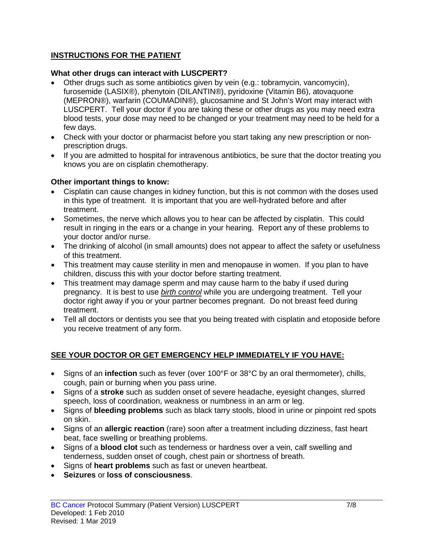### **INSTRUCTIONS FOR THE PATIENT**

#### **What other drugs can interact with LUSCPERT?**

- Other drugs such as some antibiotics given by vein (e.g.: tobramycin, vancomycin), furosemide (LASIX®), phenytoin (DILANTIN®), pyridoxine (Vitamin B6), atovaquone (MEPRON®), warfarin (COUMADIN®), glucosamine and St John's Wort may interact with LUSCPERT. Tell your doctor if you are taking these or other drugs as you may need extra blood tests, your dose may need to be changed or your treatment may need to be held for a few days.
- Check with your doctor or pharmacist before you start taking any new prescription or nonprescription drugs.
- If you are admitted to hospital for intravenous antibiotics, be sure that the doctor treating you knows you are on cisplatin chemotherapy.

#### **Other important things to know:**

- Cisplatin can cause changes in kidney function, but this is not common with the doses used in this type of treatment. It is important that you are well-hydrated before and after treatment.
- Sometimes, the nerve which allows you to hear can be affected by cisplatin. This could result in ringing in the ears or a change in your hearing. Report any of these problems to your doctor and/or nurse.
- The drinking of alcohol (in small amounts) does not appear to affect the safety or usefulness of this treatment.
- This treatment may cause sterility in men and menopause in women. If you plan to have children, discuss this with your doctor before starting treatment.
- This treatment may damage sperm and may cause harm to the baby if used during pregnancy. It is best to use *birth control* while you are undergoing treatment. Tell your doctor right away if you or your partner becomes pregnant. Do not breast feed during treatment.
- Tell all doctors or dentists you see that you being treated with cisplatin and etoposide before you receive treatment of any form.

### **SEE YOUR DOCTOR OR GET EMERGENCY HELP IMMEDIATELY IF YOU HAVE:**

- Signs of an **infection** such as fever (over 100°F or 38°C by an oral thermometer), chills, cough, pain or burning when you pass urine.
- Signs of a **stroke** such as sudden onset of severe headache, eyesight changes, slurred speech, loss of coordination, weakness or numbness in an arm or leg.
- Signs of **bleeding problems** such as black tarry stools, blood in urine or pinpoint red spots on skin.
- Signs of an **allergic reaction** (rare) soon after a treatment including dizziness, fast heart beat, face swelling or breathing problems.
- Signs of a **blood clot** such as tenderness or hardness over a vein, calf swelling and tenderness, sudden onset of cough, chest pain or shortness of breath.
- Signs of **heart problems** such as fast or uneven heartbeat.
- **Seizures** or **loss of consciousness**.